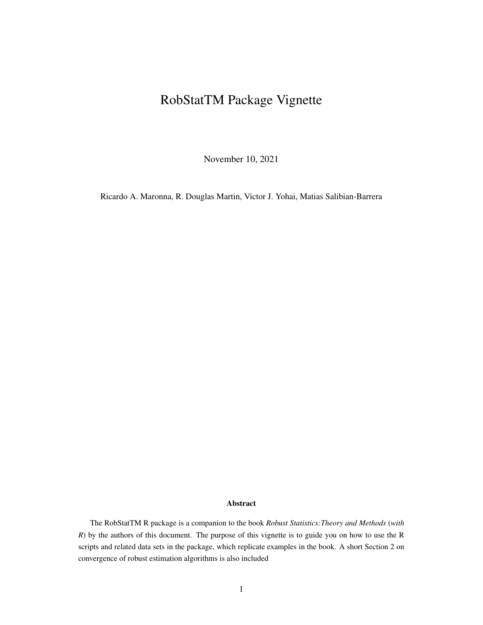# RobStatTM Package Vignette

November 10, 2021

Ricardo A. Maronna, R. Douglas Martin, Victor J. Yohai, Matias Salibian-Barrera

#### Abstract

The RobStatTM R package is a companion to the book *Robust Statistics:Theory and Methods* (*with R*) by the authors of this document. The purpose of this vignette is to guide you on how to use the R scripts and related data sets in the package, which replicate examples in the book. A short Section 2 on convergence of robust estimation algorithms is also included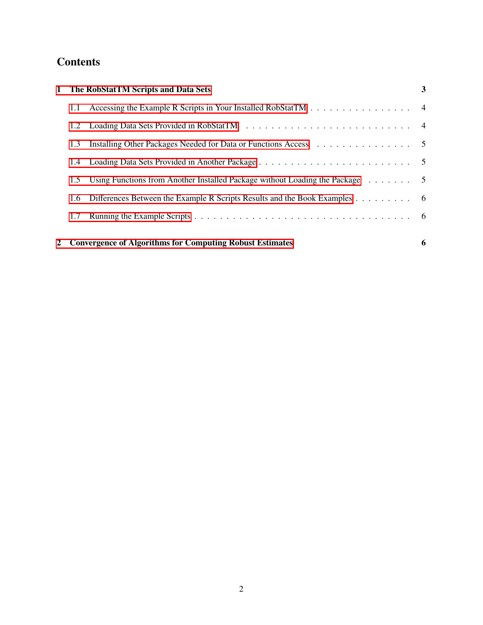## **Contents**

| <b>1</b> The RobStatTM Scripts and Data Sets<br>3                                                                                                                                                                              |
|--------------------------------------------------------------------------------------------------------------------------------------------------------------------------------------------------------------------------------|
| Accessing the Example R Scripts in Your Installed RobStatTM 4                                                                                                                                                                  |
| Loading Data Sets Provided in RobStatTM (and all contained a set of the RobstatTM) and a set of the set of the set of the set of the set of the set of the set of the set of the set of the set of the set of the set of the s |
| Installing Other Packages Needed for Data or Functions Access (Allen Lagranges Liberal Lagranges Access)                                                                                                                       |
|                                                                                                                                                                                                                                |
| 1.5 Using Functions from Another Installed Package without Loading the Package $\ldots \ldots$                                                                                                                                 |
| Differences Between the Example R Scripts Results and the Book Examples 6                                                                                                                                                      |
|                                                                                                                                                                                                                                |
| <b>Convergence of Algorithms for Computing Robust Estimates</b><br>6                                                                                                                                                           |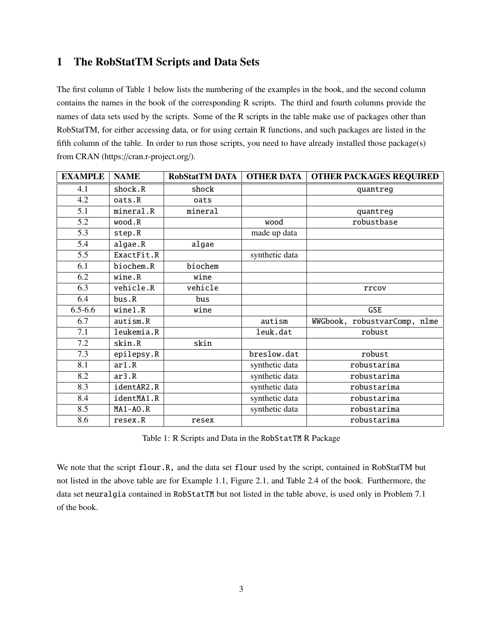## <span id="page-2-0"></span>1 The RobStatTM Scripts and Data Sets

The first column of Table 1 below lists the numbering of the examples in the book, and the second column contains the names in the book of the corresponding R scripts. The third and fourth columns provide the names of data sets used by the scripts. Some of the R scripts in the table make use of packages other than RobStatTM, for either accessing data, or for using certain R functions, and such packages are listed in the fifth column of the table. In order to run those scripts, you need to have already installed those package(s) from CRAN (https://cran.r-project.org/).

| <b>EXAMPLE</b> | <b>NAME</b>  | <b>RobStatTM DATA</b> | <b>OTHER DATA</b> | <b>OTHER PACKAGES REQUIRED</b> |
|----------------|--------------|-----------------------|-------------------|--------------------------------|
| 4.1            | shock.R      | shock                 |                   | quantreg                       |
| 4.2            | oats.R       | oats                  |                   |                                |
| 5.1            | mineral.R    | mineral               |                   | quantreg                       |
| 5.2            | wood.R       |                       | wood              | robustbase                     |
| 5.3            | step.R       |                       | made up data      |                                |
| 5.4            | algae.R      | algae                 |                   |                                |
| 5.5            | ExactFit.R   |                       | synthetic data    |                                |
| 6.1            | biochem.R    | biochem               |                   |                                |
| 6.2            | wine.R       | wine                  |                   |                                |
| 6.3            | vehicle.R    | vehicle               |                   | rrcov                          |
| 6.4            | bus.R        | bus                   |                   |                                |
| $6.5 - 6.6$    | wine1.R      | wine                  |                   | <b>GSE</b>                     |
| 6.7            | autism.R     |                       | autism            | WWGbook, robustvarComp, nlme   |
| 7.1            | leukemia.R   |                       | leuk.dat          | robust                         |
| 7.2            | skin.R       | skin                  |                   |                                |
| 7.3            | epilepsy.R   |                       | breslow.dat       | robust                         |
| 8.1            | ar1.R        |                       | synthetic data    | robustarima                    |
| 8.2            | ar3.R        |                       | synthetic data    | robustarima                    |
| 8.3            | identAR2.R   |                       | synthetic data    | robustarima                    |
| 8.4            | identMA1.R   |                       | synthetic data    | robustarima                    |
| 8.5            | $MA1 - AO.R$ |                       | synthetic data    | robustarima                    |
| 8.6            | resex.R      | resex                 |                   | robustarima                    |

Table 1: R Scripts and Data in the RobStatTM R Package

We note that the script flour.R, and the data set flour used by the script, contained in RobStatTM but not listed in the above table are for Example 1.1, Figure 2.1, and Table 2.4 of the book. Furthermore, the data set neuralgia contained in RobStatTM but not listed in the table above, is used only in Problem 7.1 of the book.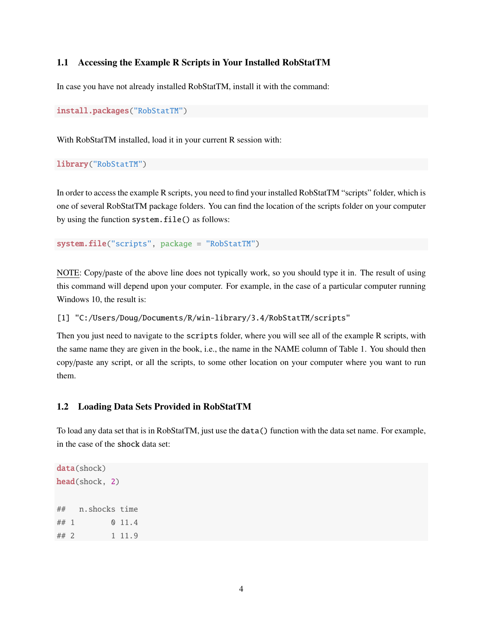#### <span id="page-3-0"></span>1.1 Accessing the Example R Scripts in Your Installed RobStatTM

In case you have not already installed RobStatTM, install it with the command:

```
install.packages("RobStatTM")
```
With RobStatTM installed, load it in your current R session with:

```
library("RobStatTM")
```
In order to access the example R scripts, you need to find your installed RobStatTM "scripts" folder, which is one of several RobStatTM package folders. You can find the location of the scripts folder on your computer by using the function system.file() as follows:

```
system.file("scripts", package = "RobStatTM")
```
NOTE: Copy/paste of the above line does not typically work, so you should type it in. The result of using this command will depend upon your computer. For example, in the case of a particular computer running Windows 10, the result is:

[1] "C:/Users/Doug/Documents/R/win-library/3.4/RobStatTM/scripts"

Then you just need to navigate to the scripts folder, where you will see all of the example R scripts, with the same name they are given in the book, i.e., the name in the NAME column of Table 1. You should then copy/paste any script, or all the scripts, to some other location on your computer where you want to run them.

#### <span id="page-3-1"></span>1.2 Loading Data Sets Provided in RobStatTM

To load any data set that is in RobStatTM, just use the data() function with the data set name. For example, in the case of the shock data set:

```
data(shock)
head(shock, 2)
## n.shocks time
## 1 0 11.4
## 2 1 11.9
```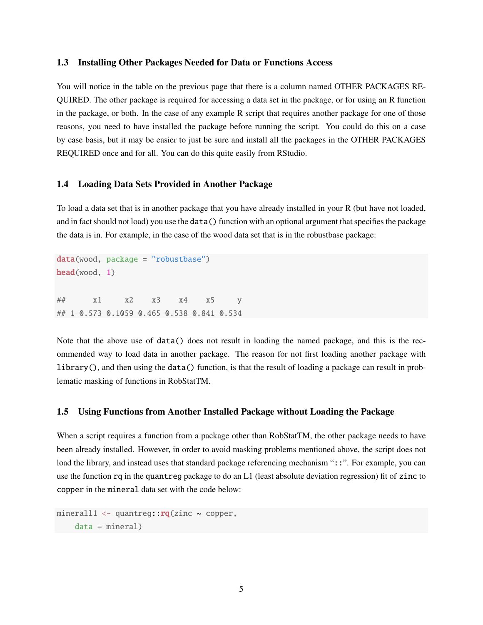#### <span id="page-4-0"></span>1.3 Installing Other Packages Needed for Data or Functions Access

You will notice in the table on the previous page that there is a column named OTHER PACKAGES RE-QUIRED. The other package is required for accessing a data set in the package, or for using an R function in the package, or both. In the case of any example R script that requires another package for one of those reasons, you need to have installed the package before running the script. You could do this on a case by case basis, but it may be easier to just be sure and install all the packages in the OTHER PACKAGES REQUIRED once and for all. You can do this quite easily from RStudio.

#### <span id="page-4-1"></span>1.4 Loading Data Sets Provided in Another Package

To load a data set that is in another package that you have already installed in your R (but have not loaded, and in fact should not load) you use the data() function with an optional argument that specifies the package the data is in. For example, in the case of the wood data set that is in the robustbase package:

data(wood, package = "robustbase") head(wood, 1) ## x1 x2 x3 x4 x5 y ## 1 0.573 0.1059 0.465 0.538 0.841 0.534

Note that the above use of data() does not result in loading the named package, and this is the recommended way to load data in another package. The reason for not first loading another package with library(), and then using the data() function, is that the result of loading a package can result in problematic masking of functions in RobStatTM.

#### <span id="page-4-2"></span>1.5 Using Functions from Another Installed Package without Loading the Package

When a script requires a function from a package other than RobStatTM, the other package needs to have been already installed. However, in order to avoid masking problems mentioned above, the script does not load the library, and instead uses that standard package referencing mechanism "::". For example, you can use the function rq in the quantreg package to do an L1 (least absolute deviation regression) fit of zinc to copper in the mineral data set with the code below:

```
minerall1 <- quantreg::rq(zinc ~ ~ copper,data = mineral)
```